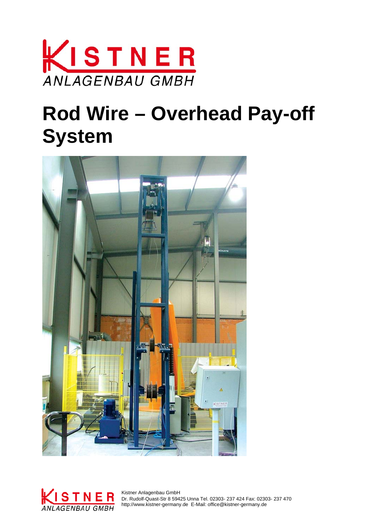

## **Rod Wire – Overhead Pay-off System**





 Dr. Rudolf-Quast-Str 8 59425 Unna Tel. 02303- 237 424 Fax: 02303- 237 470 http://www.kistner-germany.de E-Mail: office@kistner-germany.de